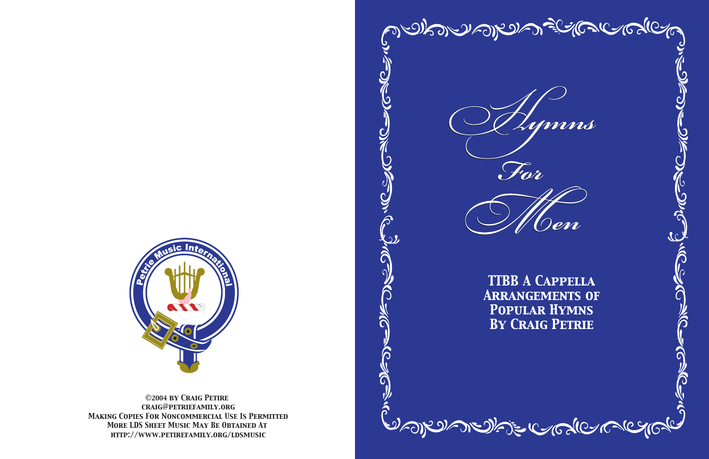

*©2004 by Craig Petire craig@petriefamily.org Making Copies For Noncommercial Use Is Permitted More LDS Sheet Music May Be Obtained At http://www.petirefamily.org/ldsmusic*

Composed and the response of the stress For





**TTBB A CAPPELLA ARRANGEMENTS OF POPULAR HYMNS BY CRAIG PETRIE** 

## Worden de la code a caracter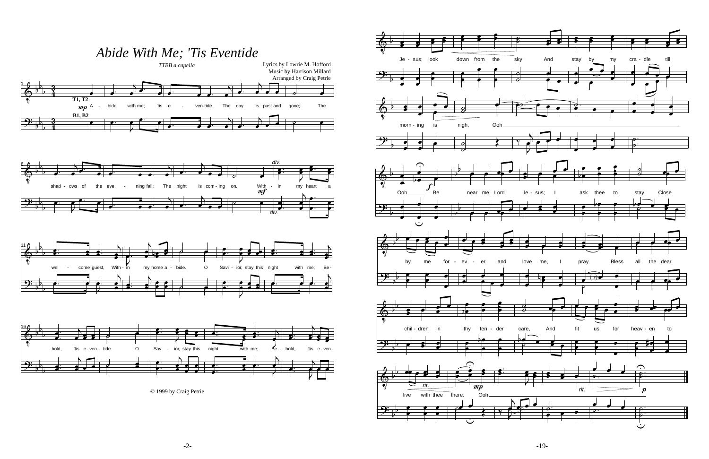



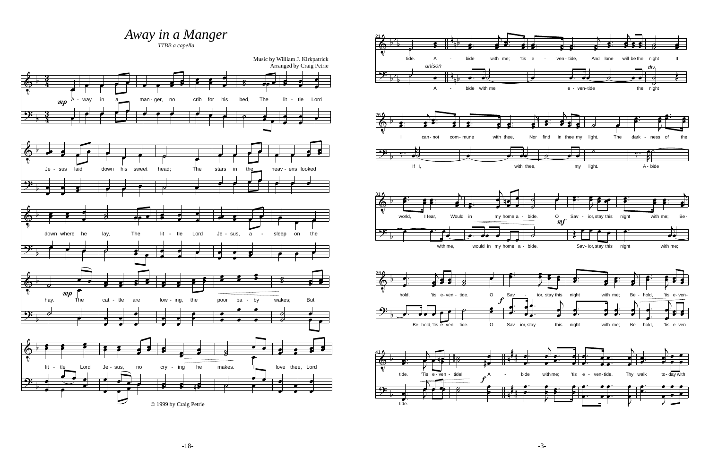



 $\overline{b}$  $\overline{\bullet}$  $\bullet$  $\overline{\bullet}$ :

 $\overline{\bullet}$ 

 $\overline{b}$  $\overline{\bullet}$  $\overline{\bullet}$ 

 $\overline{\phantom{a}}$ 

ŕ

 $\bullet$ **‡•** 

> É F

 $\boldsymbol{f}$ 

 $\ddot{\bullet}$ 

q

l<br>E

 $\overline{\bullet}$  $\bullet$ 

-18- -3-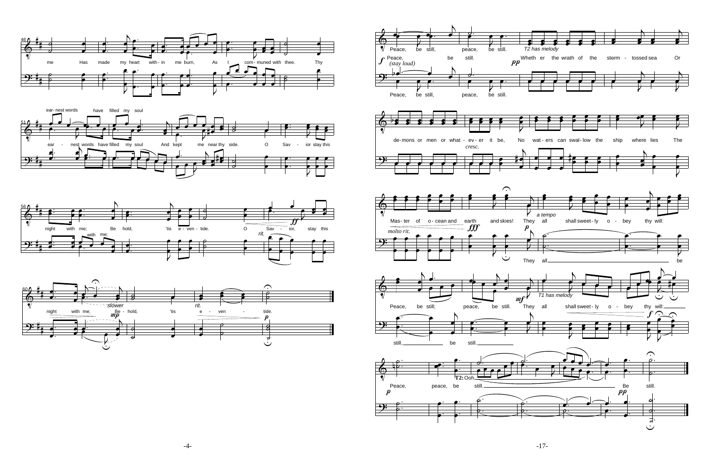

















-4- -17-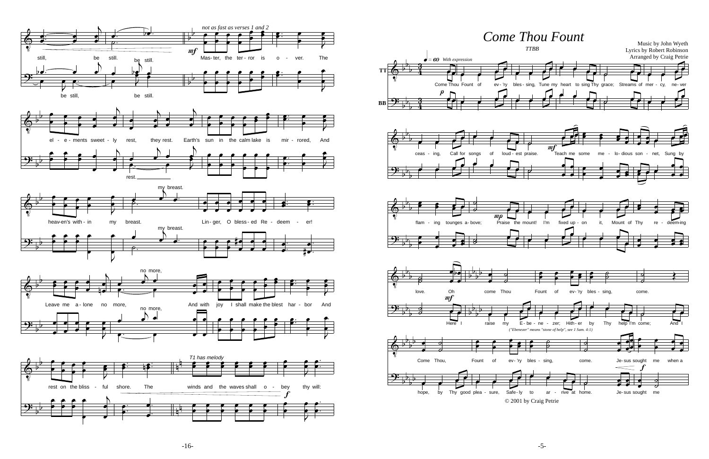









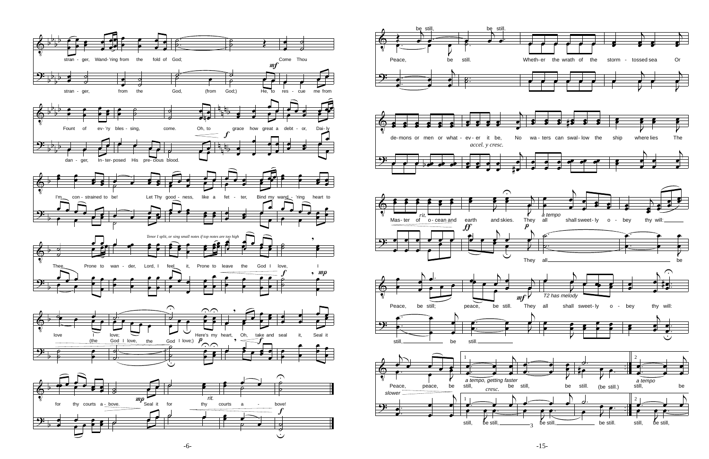









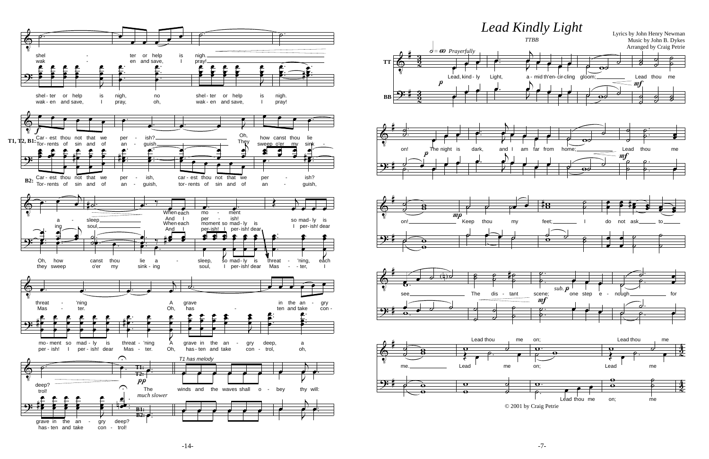





![](_page_6_Figure_5.jpeg)

![](_page_6_Figure_6.jpeg)

![](_page_6_Figure_2.jpeg)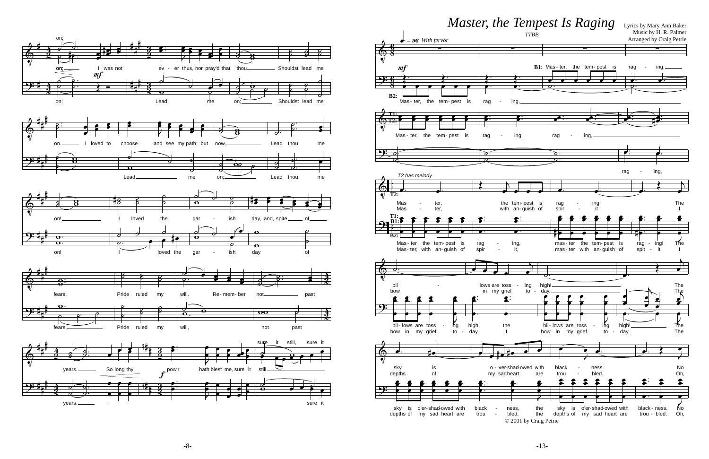![](_page_7_Figure_1.jpeg)

![](_page_7_Figure_2.jpeg)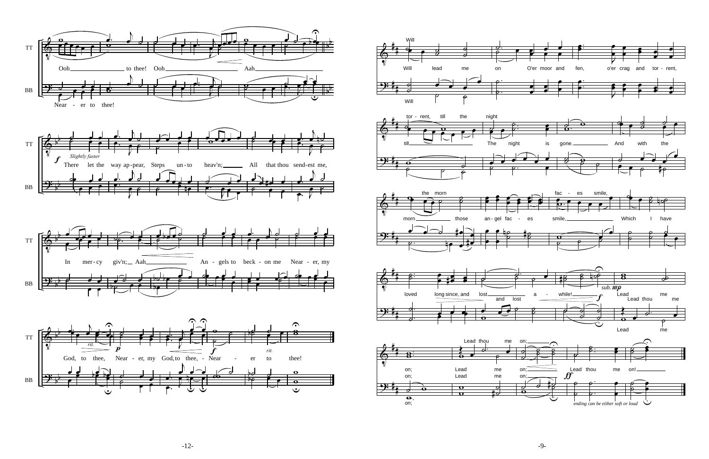![](_page_8_Figure_0.jpeg)

![](_page_8_Figure_1.jpeg)

![](_page_8_Figure_2.jpeg)

![](_page_8_Figure_3.jpeg)

![](_page_8_Figure_4.jpeg)

![](_page_8_Figure_5.jpeg)

![](_page_8_Figure_6.jpeg)

![](_page_8_Figure_7.jpeg)

![](_page_8_Figure_8.jpeg)